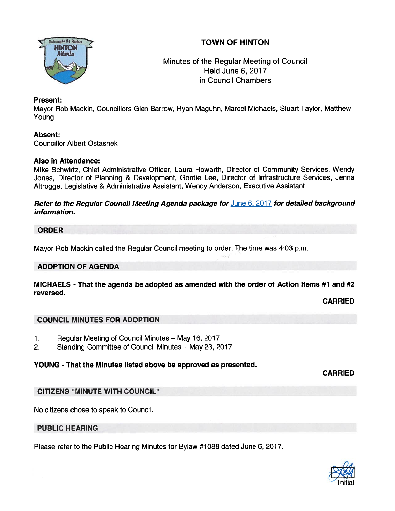# TOWN OF HINTON



Minutes of the Regular Meeting of Council Held June 6, 2017 in Council Chambers

### Present:

Mayor Rob Mackin, Councillors Glen Barrow, Ryan Maguhn, Marcel Michaels, Stuart Taylor, Matthew Young

### Absent:

Councillor Albert Ostashek

### Also in Attendance:

Mike Schwirtz, Chief Administrative Officer, Laura Howarth, Director of Community Services, Wendy Jones, Director of Planning & Development, Gordie Lee, Director of Infrastructure Services, Jenna Altrogge, Legislative & Administrative Assistant, Wendy Anderson, Executive Assistant

#### Refer to the Regular Council Meeting Agenda package for June 6, 2017 for detailed background information.

#### ORDER

Mayor Rob Mackin called the Regular Council meeting to order. The time was 4:03 p.m.

# ADOPTION OF AGENDA

#### MICHAELS - That the agenda be adopted as amended with the order of Action Items #1 and #2 reversed.

CARRiED

#### COUNCIL MINUTES FOR ADOPTION

- 1. Regular Meeting of Council Minutes May 16, 2017
- 2. Standing Committee of Council Minutes May 23, 2017

# YOUNG - That the Minutes listed above be approved as presented.

CARRIED

# CITIZENS "MINUTE WITH COUNCIL"

No citizens chose to speak to Council.

# PUBLIC HEARING

Please refer to the Public Hearing Minutes for Bylaw #1088 dated June 6, 2017.

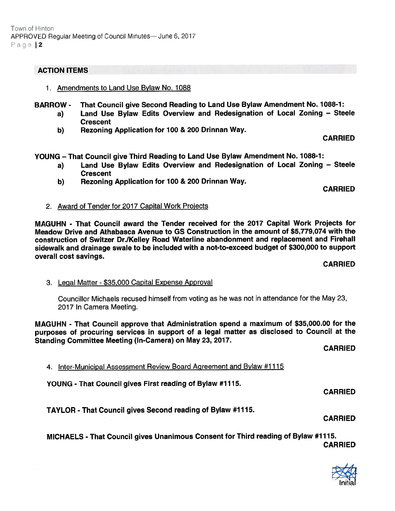# ACTION ITEMS

- 1. Amendments to Land Use Bylaw No. 1088
- BARROW That Council <sup>g</sup>ive Second Reading to Land Use Bylaw Amendment No. 1088-1:
	- a) Land Use Bylaw Edits Overview and Redesignation of Local Zoning Steele **Crescent**
	- b) Rezoning Application for 100 & 200 Drinnan Way.

CARRIED

YOUNG —That Council give Third Reading to Land Use Bylaw Amendment No. 1088-1:

- a) Land Use Bylaw Edits Overview and Redesignation of Local Zoning Steele **Crescent**
- b) Rezoning Application for 700 & 200 Drinnan Way.

CARRIED

2. Award of Tender for 2017 Capital Work Projects

MAGUHN - That Council award the Tender received for the 2017 Capital Work Projects for Meadow Drive and Athabasca Avenue to GS Construction in the amount of \$5,779,074 with the construction of Switzer Dr./Kelley Road Waterline abandonment and replacement and Firehall sidewalk and drainage swale to be included with <sup>a</sup> not-to-exceed budget of \$300,000 to suppor<sup>t</sup> overall cost savings.

# CARRIED

3. Legal Matter - \$35,000 Capital Expense Approval

Councillor Michaels recused himself from voting as he was not in attendance for the May 23, 2017 In Camera Meeting.

MAGUHN - That Council approve that Administration spen<sup>d</sup> <sup>a</sup> maximum of \$35,000.00 for the purposes of procuring services in suppor<sup>t</sup> of <sup>a</sup> legal matter as disclosed to Council at the Standing Committee Meeting (In-Camera) on May 23, 2077.

CARRIED

4. Inter-Municipal Assessment Review Board Agreement and Bylaw #1115

YOUNG - That Council gives First reading of Bylaw #1115.

CARRIED

TAYLOR - That Council gives Second reading of Bylaw #1115.

CARRIED

MICHAELS - That Council <sup>g</sup>ives Unanimous Consent for Third reading of Bylaw #17 15. CARRIED